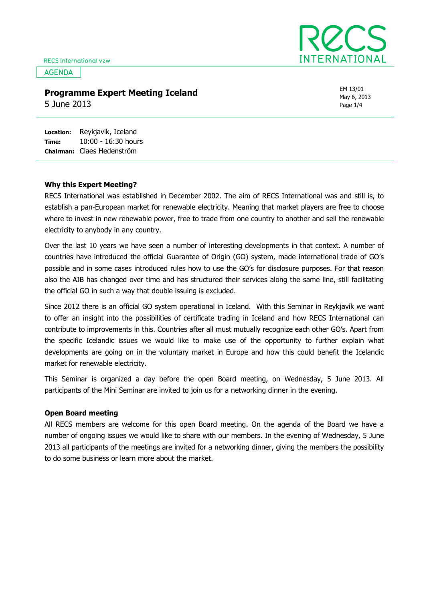**AGENDA** 



### Programme Expert Meeting Iceland

5 June 2013

EM 13/01 May 6, 2013 Page 1/4

Location: Time: Chairman: Claes Hedenström Reykjavik, Iceland 10:00 - 16:30 hours

#### Why this Expert Meeting?

RECS International was established in December 2002. The aim of RECS International was and still is, to establish a pan-European market for renewable electricity. Meaning that market players are free to choose where to invest in new renewable power, free to trade from one country to another and sell the renewable electricity to anybody in any country.

Over the last 10 years we have seen a number of interesting developments in that context. A number of countries have introduced the official Guarantee of Origin (GO) system, made international trade of GO's possible and in some cases introduced rules how to use the GO's for disclosure purposes. For that reason also the AIB has changed over time and has structured their services along the same line, still facilitating the official GO in such a way that double issuing is excluded.

Since 2012 there is an official GO system operational in Iceland. With this Seminar in Reykjavík we want to offer an insight into the possibilities of certificate trading in Iceland and how RECS International can contribute to improvements in this. Countries after all must mutually recognize each other GO's. Apart from the specific Icelandic issues we would like to make use of the opportunity to further explain what developments are going on in the voluntary market in Europe and how this could benefit the Icelandic market for renewable electricity.

This Seminar is organized a day before the open Board meeting, on Wednesday, 5 June 2013. All participants of the Mini Seminar are invited to join us for a networking dinner in the evening.

#### Open Board meeting

All RECS members are welcome for this open Board meeting. On the agenda of the Board we have a number of ongoing issues we would like to share with our members. In the evening of Wednesday, 5 June 2013 all participants of the meetings are invited for a networking dinner, giving the members the possibility to do some business or learn more about the market.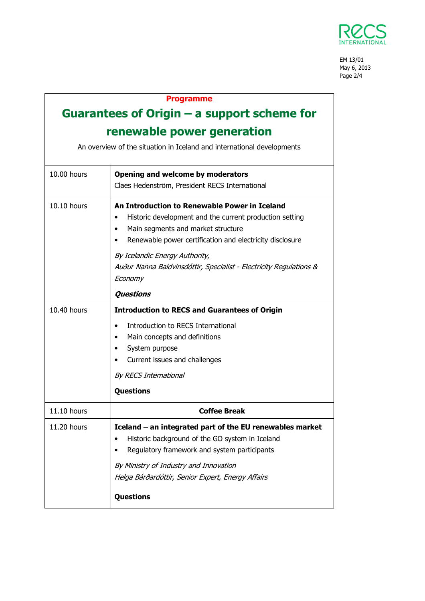

EM 13/01 May 6, 2013 Page 2/4

## Programme

# Guarantees of Origin – a support scheme for renewable power generation

An overview of the situation in Iceland and international developments

| 10.00 hours   | Opening and welcome by moderators<br>Claes Hedenström, President RECS International                                                                                                                                                                                                                                           |
|---------------|-------------------------------------------------------------------------------------------------------------------------------------------------------------------------------------------------------------------------------------------------------------------------------------------------------------------------------|
| 10.10 hours   | An Introduction to Renewable Power in Iceland<br>Historic development and the current production setting<br>Main segments and market structure<br>Renewable power certification and electricity disclosure<br>By Icelandic Energy Authority,<br>Auður Nanna Baldvinsdóttir, Specialist - Electricity Regulations &<br>Economy |
|               | <b>Questions</b>                                                                                                                                                                                                                                                                                                              |
| $10.40$ hours | <b>Introduction to RECS and Guarantees of Origin</b>                                                                                                                                                                                                                                                                          |
|               | Introduction to RECS International<br>Main concepts and definitions<br>System purpose<br>Current issues and challenges<br><b>By RECS International</b>                                                                                                                                                                        |
|               | <b>Questions</b>                                                                                                                                                                                                                                                                                                              |
| 11.10 hours   | <b>Coffee Break</b>                                                                                                                                                                                                                                                                                                           |
| 11.20 hours   | Iceland - an integrated part of the EU renewables market<br>Historic background of the GO system in Iceland<br>Regulatory framework and system participants<br>By Ministry of Industry and Innovation<br>Helga Bárðardóttir, Senior Expert, Energy Affairs<br>Questions                                                       |
|               |                                                                                                                                                                                                                                                                                                                               |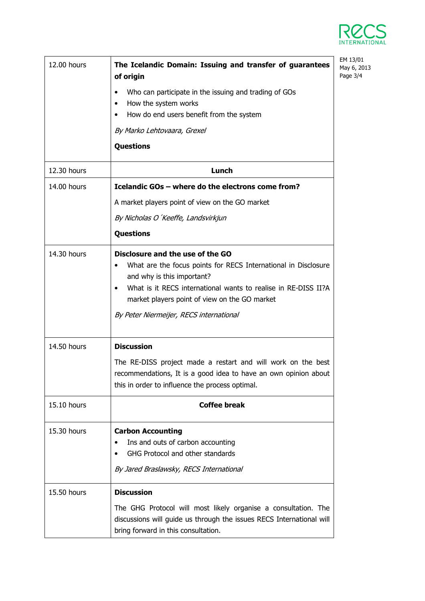

| 12.00 hours | The Icelandic Domain: Issuing and transfer of guarantees<br>of origin                                                                                                                                                                                                                               | EM 13/01<br>May 6, 2013<br>Page 3/4 |
|-------------|-----------------------------------------------------------------------------------------------------------------------------------------------------------------------------------------------------------------------------------------------------------------------------------------------------|-------------------------------------|
|             | Who can participate in the issuing and trading of GOs<br>٠<br>How the system works<br>٠<br>How do end users benefit from the system                                                                                                                                                                 |                                     |
|             | By Marko Lehtovaara, Grexel                                                                                                                                                                                                                                                                         |                                     |
|             | <b>Questions</b>                                                                                                                                                                                                                                                                                    |                                     |
| 12.30 hours | Lunch                                                                                                                                                                                                                                                                                               |                                     |
| 14.00 hours | Icelandic GOs - where do the electrons come from?                                                                                                                                                                                                                                                   |                                     |
|             | A market players point of view on the GO market                                                                                                                                                                                                                                                     |                                     |
|             | By Nicholas O'Keeffe, Landsvirkjun                                                                                                                                                                                                                                                                  |                                     |
|             | <b>Questions</b>                                                                                                                                                                                                                                                                                    |                                     |
| 14.30 hours | Disclosure and the use of the GO<br>What are the focus points for RECS International in Disclosure<br>and why is this important?<br>What is it RECS international wants to realise in RE-DISS II?A<br>٠<br>market players point of view on the GO market<br>By Peter Niermeijer, RECS international |                                     |
| 14.50 hours | <b>Discussion</b>                                                                                                                                                                                                                                                                                   |                                     |
|             | The RE-DISS project made a restart and will work on the best<br>recommendations, It is a good idea to have an own opinion about<br>this in order to influence the process optimal.                                                                                                                  |                                     |
| 15.10 hours | <b>Coffee break</b>                                                                                                                                                                                                                                                                                 |                                     |
| 15.30 hours | <b>Carbon Accounting</b><br>Ins and outs of carbon accounting<br>GHG Protocol and other standards<br>By Jared Braslawsky, RECS International                                                                                                                                                        |                                     |
| 15.50 hours | <b>Discussion</b>                                                                                                                                                                                                                                                                                   |                                     |
|             | The GHG Protocol will most likely organise a consultation. The<br>discussions will guide us through the issues RECS International will<br>bring forward in this consultation.                                                                                                                       |                                     |